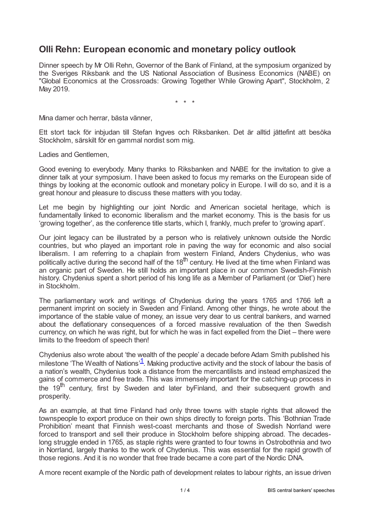## **Olli Rehn: European economic and monetary policy outlook**

Dinner speech by Mr Olli Rehn, Governor of the Bank of Finland, at the symposium organized by the Sveriges Riksbank and the US National Association of Business Economics (NABE) on "Global Economics at the Crossroads: Growing Together While Growing Apart", Stockholm, 2 May 2019.

\* \* \*

Mina damer och herrar, bästa vänner,

Ett stort tack för inbjudan till Stefan Ingves och Riksbanken. Det är alltid jättefint att besöka Stockholm, särskilt för en gammal nordist som mig.

Ladies and Gentlemen,

Good evening to everybody. Many thanks to Riksbanken and NABE for the invitation to give a dinner talk at your symposium. I have been asked to focus my remarks on the European side of things by looking at the economic outlook and monetary policy in Europe. I will do so, and it is a great honour and pleasure to discuss these matters with you today.

Let me begin by highlighting our joint Nordic and American societal heritage, which is fundamentally linked to economic liberalism and the market economy. This is the basis for us 'growing together', as the conference title starts, which I, frankly, much prefer to 'growing apart'.

Our joint legacy can be illustrated by a person who is relatively unknown outside the Nordic countries, but who played an important role in paving the way for economic and also social liberalism. I am referring to a chaplain from western Finland, Anders Chydenius, who was politically active during the second half of the 18<sup>th</sup> century. He lived at the time when Finland was an organic part of Sweden. He still holds an important place in our common Swedish-Finnish history. Chydenius spent a short period of his long life as a Member of Parliament (or 'Diet') here in Stockholm.

The parliamentary work and writings of Chydenius during the years 1765 and 1766 left a permanent imprint on society in Sweden and Finland. Among other things, he wrote about the importance of the stable value of money, an issue very dear to us central bankers, and warned about the deflationary consequences of a forced massive revaluation of the then Swedish currency, on which he was right, but for which he was in fact expelled from the Diet – there were limits to the freedom of speech then!

<span id="page-0-0"></span>Chydenius also wrote about 'the wealth of the people' a decade before Adam Smith published his milestone 'The Wealth of Nations'<sup>[1](#page-3-0)</sup>. Making productive activity and the stock of labour the basis of a nation's wealth, Chydenius took a distance from the mercantilists and instead emphasized the gains of commerce and free trade. This was immensely important for the catching-up process in the 19<sup>th</sup> century, first by Sweden and later byFinland, and their subsequent growth and prosperity.

As an example, at that time Finland had only three towns with staple rights that allowed the townspeople to export produce on their own ships directly to foreign ports. This 'Bothnian Trade Prohibition' meant that Finnish west-coast merchants and those of Swedish Norrland were forced to transport and sell their produce in Stockholm before shipping abroad. The decadeslong struggle ended in 1765, as staple rights were granted to four towns in Ostrobothnia and two in Norrland, largely thanks to the work of Chydenius. This was essential for the rapid growth of those regions. And it is no wonder that free trade became a core part of the Nordic DNA.

A more recent example of the Nordic path of development relates to labour rights, an issue driven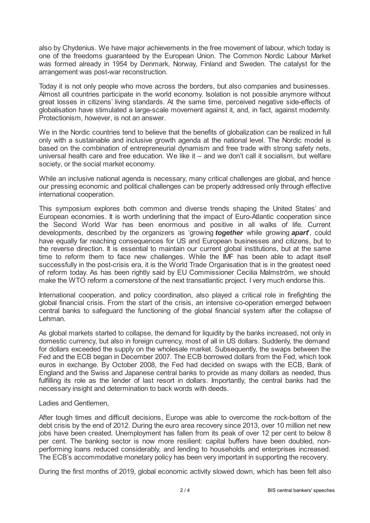also by Chydenius. We have major achievements in the free movement of labour, which today is one of the freedoms guaranteed by the European Union. The Common Nordic Labour Market was formed already in 1954 by Denmark, Norway, Finland and Sweden. The catalyst for the arrangement was post-war reconstruction.

Today it is not only people who move across the borders, but also companies and businesses. Almost all countries participate in the world economy. Isolation is not possible anymore without great losses in citizens' living standards. At the same time, perceived negative side-effects of globalisation have stimulated a large-scale movement against it, and, in fact, against modernity. Protectionism, however, is not an answer.

We in the Nordic countries tend to believe that the benefits of globalization can be realized in full only with a sustainable and inclusive growth agenda at the national level. The Nordic model is based on the combination of entrepreneurial dynamism and free trade with strong safety nets, universal health care and free education. We like it – and we don't call it socialism, but welfare society, or the social market economy.

While an inclusive national agenda is necessary, many critical challenges are global, and hence our pressing economic and political challenges can be properly addressed only through effective international cooperation.

This symposium explores both common and diverse trends shaping the United States' and European economies. It is worth underlining that the impact of Euro-Atlantic cooperation since the Second World War has been enormous and positive in all walks of life. Current developments, described by the organizers as 'growing *together* while growing *apart*', could have equally far reaching consequences for US and European businesses and citizens, but to the reverse direction. It is essential to maintain our current global institutions, but at the same time to reform them to face new challenges. While the IMF has been able to adapt itself successfully in the post-crisis era, it is the World Trade Organisation that is in the greatest need of reform today. As has been rightly said by EU Commissioner Cecilia Malmström, we should make the WTO reform a cornerstone of the next transatlantic project. I very much endorse this.

International cooperation, and policy coordination, also played a critical role in firefighting the global financial crisis. From the start of the crisis, an intensive co-operation emerged between central banks to safeguard the functioning of the global financial system after the collapse of Lehman.

As global markets started to collapse, the demand for liquidity by the banks increased, not only in domestic currency, but also in foreign currency, most of all in US dollars. Suddenly, the demand for dollars exceeded the supply on the wholesale market. Subsequently, the swaps between the Fed and the ECB began in December 2007. The ECB borrowed dollars from the Fed, which took euros in exchange. By October 2008, the Fed had decided on swaps with the ECB, Bank of England and the Swiss and Japanese central banks to provide as many dollars as needed, thus fulfilling its role as the lender of last resort in dollars. Importantly, the central banks had the necessary insight and determination to back words with deeds.

## Ladies and Gentlemen,

After tough times and difficult decisions, Europe was able to overcome the rock-bottom of the debt crisis by the end of 2012. During the euro area recovery since 2013, over 10 million net new jobs have been created. Unemployment has fallen from its peak of over 12 per cent to below 8 per cent. The banking sector is now more resilient: capital buffers have been doubled, nonperforming loans reduced considerably, and lending to households and enterprises increased. The ECB's accommodative monetary policy has been very important in supporting the recovery.

During the first months of 2019, global economic activity slowed down, which has been felt also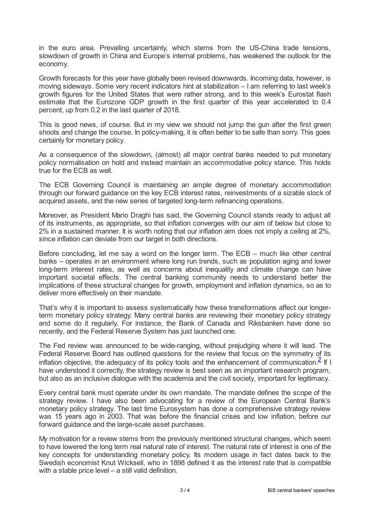in the euro area. Prevailing uncertainty, which stems from the US-China trade tensions, slowdown of growth in China and Europe's internal problems, has weakened the outlook for the economy.

Growth forecasts for this year have globally been revised downwards. Incoming data, however, is moving sideways. Some very recent indicators hint at stabilization – I am referring to last week's growth figures for the United States that were rather strong, and to this week's Eurostat flash estimate that the Eurozone GDP growth in the first quarter of this year accelerated to 0.4 percent, up from 0.2 in the last quarter of 2018.

This is good news, of course. But in my view we should not jump the gun after the first green shoots and change the course. In policy-making, it is often better to be safe than sorry. This goes certainly for monetary policy.

As a consequence of the slowdown, (almost) all major central banks needed to put monetary policy normalisation on hold and instead maintain an accommodative policy stance. This holds true for the ECB as well.

The ECB Governing Council is maintaining an ample degree of monetary accommodation through our forward guidance on the key ECB interest rates, reinvestments of a sizable stock of acquired assets, and the new series of targeted long-term refinancing operations.

Moreover, as President Mario Draghi has said, the Governing Council stands ready to adjust all of its instruments, as appropriate, so that inflation converges with our aim of below but close to 2% in a sustained manner. It is worth noting that our inflation aim does not imply a ceiling at 2%, since inflation can deviate from our target in both directions.

Before concluding, let me say a word on the longer term. The ECB – much like other central banks – operates in an environment where long run trends, such as population aging and lower long-term interest rates, as well as concerns about inequality and climate change can have important societal effects. The central banking community needs to understand better the implications of these structural changes for growth, employment and inflation dynamics, so as to deliver more effectively on their mandate.

That's why it is important to assess systematically how these transformations affect our longerterm monetary policy strategy. Many central banks are reviewing their monetary policy strategy and some do it regularly. For instance, the Bank of Canada and Riksbanken have done so recently, and the Federal Reserve System has just launched one.

<span id="page-2-0"></span>The Fed review was announced to be wide-ranging, without prejudging where it will lead. The Federal Reserve Board has outlined questions for the review that focus on the symmetry of its inflation objective, the adequacy of its policy tools and the enhancement of communication.<sup>[2](#page-3-1)</sup> If I have understood it correctly, the strategy review is best seen as an important research program, but also as an inclusive dialogue with the academia and the civil society, important for legitimacy.

Every central bank must operate under its own mandate. The mandate defines the scope of the strategy review. I have also been advocating for a review of the European Central Bank's monetary policy strategy. The last time Eurosystem has done a comprehensive strategy review was 15 years ago in 2003. That was before the financial crises and low inflation, before our forward guidance and the large-scale asset purchases.

My motivation for a review stems from the previously mentioned structural changes, which seem to have lowered the long term real natural rate of interest. The natural rate of interest is one of the key concepts for understanding monetary policy. Its modern usage in fact dates back to the Swedish economist Knut Wicksell, who in 1898 defined it as the interest rate that is compatible with a stable price level – a still valid definition.